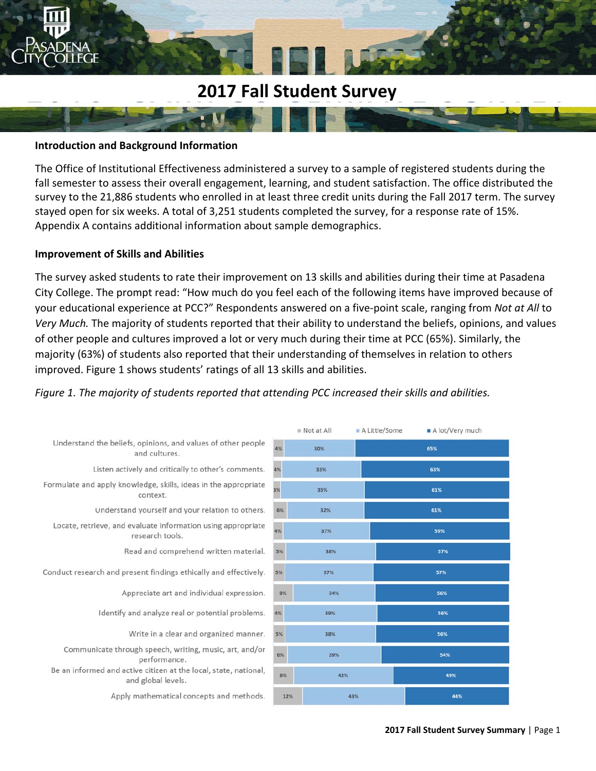# **2017 Fall Student Survey**

#### **Introduction and Background Information**

The Office of Institutional Effectiveness administered a survey to a sample of registered students during the fall semester to assess their overall engagement, learning, and student satisfaction. The office distributed the survey to the 21,886 students who enrolled in at least three credit units during the Fall 2017 term. The survey stayed open for six weeks. A total of 3,251 students completed the survey, for a response rate of 15%. Appendix A contains additional information about sample demographics.

#### **Improvement of Skills and Abilities**

The survey asked students to rate their improvement on 13 skills and abilities during their time at Pasadena City College. The prompt read: "How much do you feel each of the following items have improved because of your educational experience at PCC?" Respondents answered on a five‐point scale, ranging from *Not at All* to *Very Much.* The majority of students reported that their ability to understand the beliefs, opinions, and values of other people and cultures improved a lot or very much during their time at PCC (65%). Similarly, the majority (63%) of students also reported that their understanding of themselves in relation to others improved. Figure 1 shows students' ratings of all 13 skills and abilities.

#### *Figure 1. The majority of students reported that attending PCC increased their skills and abilities.*

|                                                                                        |     | $Not$ at All | A Little/Some | A lot/Very much |
|----------------------------------------------------------------------------------------|-----|--------------|---------------|-----------------|
| Understand the beliefs, opinions, and values of other people<br>and cultures.          | 4%  | 30%          |               | 65%             |
| Listen actively and critically to other's comments.                                    | 4%  | 33%          |               | 63%             |
| Formulate and apply knowledge, skills, ideas in the appropriate<br>context.            | 3%  | 35%          |               | 61%             |
| Understand yourself and your relation to others.                                       | 6%  | 32%          |               | 61%             |
| Locate, retrieve, and evaluate information using appropriate<br>research tools.        | 4%  | 37%          |               | 59%             |
| Read and comprehend written material.                                                  | 5%  | 38%          |               | 57%             |
| Conduct research and present findings ethically and effectively.                       | 5%  | 37%          |               | 57%             |
| Appreciate art and individual expression.                                              | 8%  | 34%          |               | 56%             |
| Identify and analyze real or potential problems.                                       | 4%  | 39%          |               | 56%             |
| Write in a clear and organized manner.                                                 | 5%  | 38%          |               | 56%             |
| Communicate through speech, writing, music, art, and/or<br>performance.                | 6%  | 39%          |               | 54%             |
| Be an informed and active citizen at the local, state, national,<br>and global levels. | 8%  | 42%          |               | 49%             |
| Apply mathematical concepts and methods.                                               | 12% | 43%          |               | 44%             |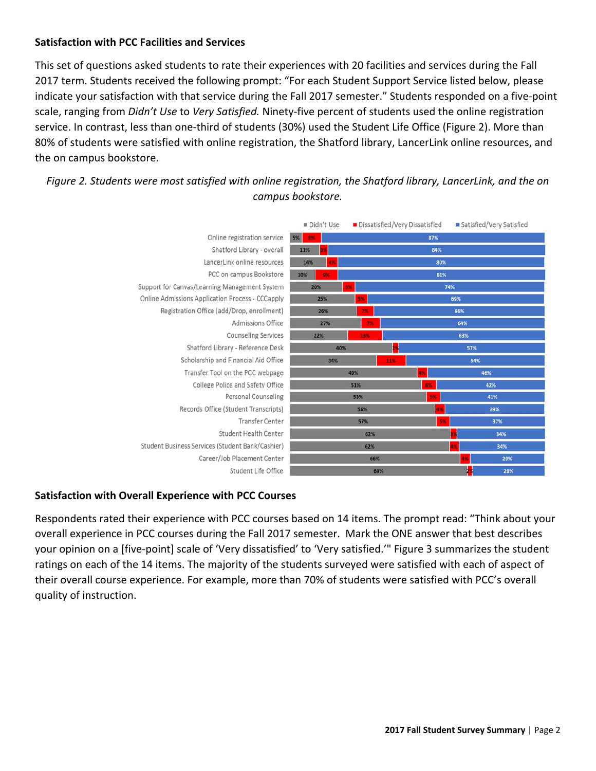#### **Satisfaction with PCC Facilities and Services**

 This set of questions asked students to rate their experiences with 20 facilities and services during the Fall 2017 term. Students received the following prompt: "For each Student Support Service listed below, please indicate your satisfaction with that service during the Fall 2017 semester." Students responded on a five‐point scale, ranging from *Didn't Use* to *Very Satisfied.* Ninety‐five percent of students used the online registration service. In contrast, less than one-third of students (30%) used the Student Life Office (Figure 2). More than 80% of students were satisfied with online registration, the Shatford library, LancerLink online resources, and the on campus bookstore.

### *Figure 2. Students were most satisfied with online registration, the Shatford library, LancerLink, and the on campus bookstore.*



#### **Satisfaction with Overall Experience with PCC Courses**

Respondents rated their experience with PCC courses based on 14 items. The prompt read: "Think about your overall experience in PCC courses during the Fall 2017 semester. Mark the ONE answer that best describes your opinion on a [five‐point] scale of 'Very dissatisfied' to 'Very satisfied.'" Figure 3 summarizes the student ratings on each of the 14 items. The majority of the students surveyed were satisfied with each of aspect of their overall course experience. For example, more than 70% of students were satisfied with PCC's overall quality of instruction.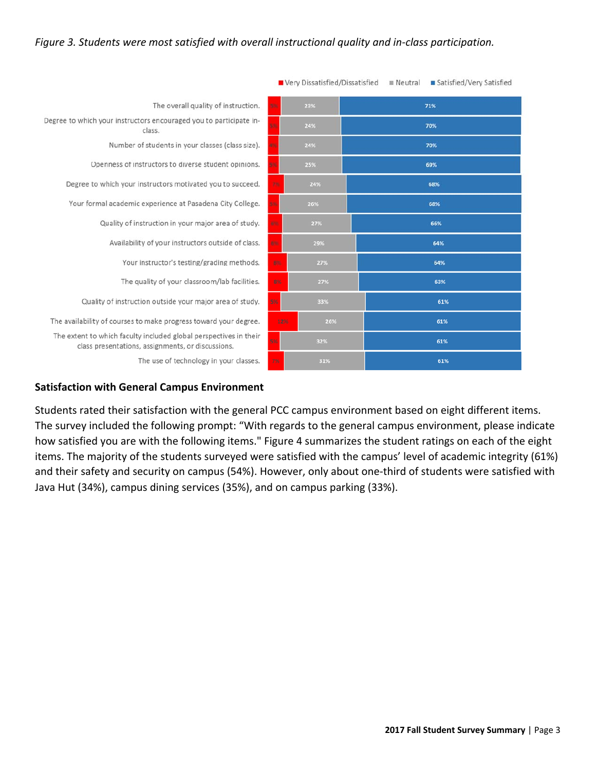#### *Figure 3. Students were most satisfied with overall instructional quality and in‐class participation.*

|                                                                                                                        | Very Dissatisfied/Dissatisfied | Neutral<br>■ Satisfied/Very Satisfied |
|------------------------------------------------------------------------------------------------------------------------|--------------------------------|---------------------------------------|
| The overall quality of instruction.                                                                                    | ١×,<br>23%                     | 71%                                   |
| Degree to which your instructors encouraged you to participate in-<br>class.                                           | 24%                            | 70%                                   |
| Number of students in your classes (class size).                                                                       | 24%                            | 70%                                   |
| Openness of instructors to diverse student opinions.                                                                   | 25%                            | 69%                                   |
| Degree to which your instructors motivated you to succeed.                                                             | 2%<br>24%                      | 68%                                   |
| Your formal academic experience at Pasadena City College.                                                              | o.<br>26%                      | 68%                                   |
| Quality of instruction in your major area of study.                                                                    | <b>NOV</b><br>27%              | 66%                                   |
| Availability of your instructors outside of class.                                                                     | 6N.<br>29%                     | 64%                                   |
| Your instructor's testing/grading methods.                                                                             | <b>ES</b><br>27%               | 64%                                   |
| The quality of your classroom/lab facilities.                                                                          | 8%<br>27%                      | 63%                                   |
| Quality of instruction outside your major area of study.                                                               | 5%<br>33%                      | 61%                                   |
| The availability of courses to make progress toward your degree.                                                       | 12%<br>26%                     | 61%                                   |
| The extent to which faculty included global perspectives in their<br>class presentations, assignments, or discussions. | 5%<br>32%                      | 61%                                   |
| The use of technology in your classes.                                                                                 | 7%<br>31%                      | 61%                                   |

## **Satisfaction with General Campus Environment**

Students rated their satisfaction with the general PCC campus environment based on eight different items. The survey included the following prompt: "With regards to the general campus environment, please indicate how satisfied you are with the following items." Figure 4 summarizes the student ratings on each of the eight items. The majority of the students surveyed were satisfied with the campus' level of academic integrity (61%) and their safety and security on campus (54%). However, only about one-third of students were satisfied with Java Hut (34%), campus dining services (35%), and on campus parking (33%).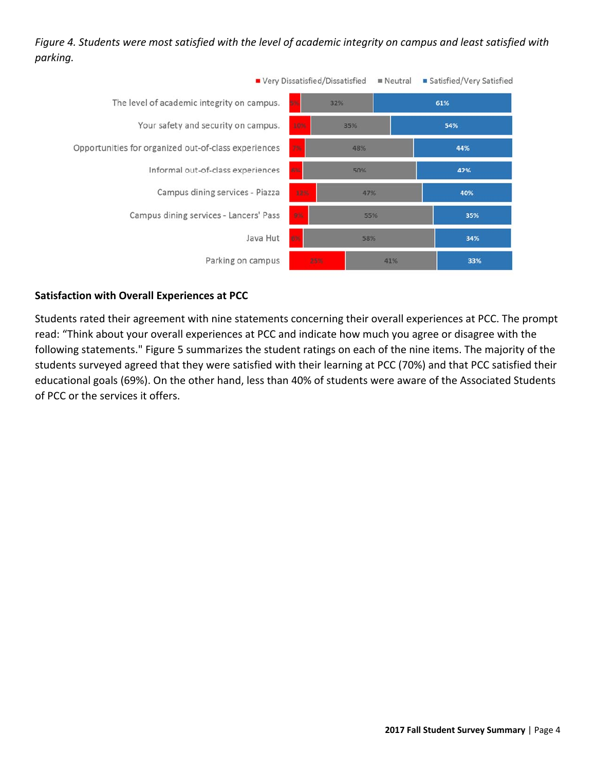## *Figure 4. Students were most satisfied with the level of academic integrity on campus and least satisfied with parking.*



#### **Satisfaction with Overall Experiences at PCC**

Students rated their agreement with nine statements concerning their overall experiences at PCC. The prompt read: "Think about your overall experiences at PCC and indicate how much you agree or disagree with the following statements." Figure 5 summarizes the student ratings on each of the nine items. The majority of the students surveyed agreed that they were satisfied with their learning at PCC (70%) and that PCC satisfied their educational goals (69%). On the other hand, less than 40% of students were aware of the Associated Students of PCC or the services it offers.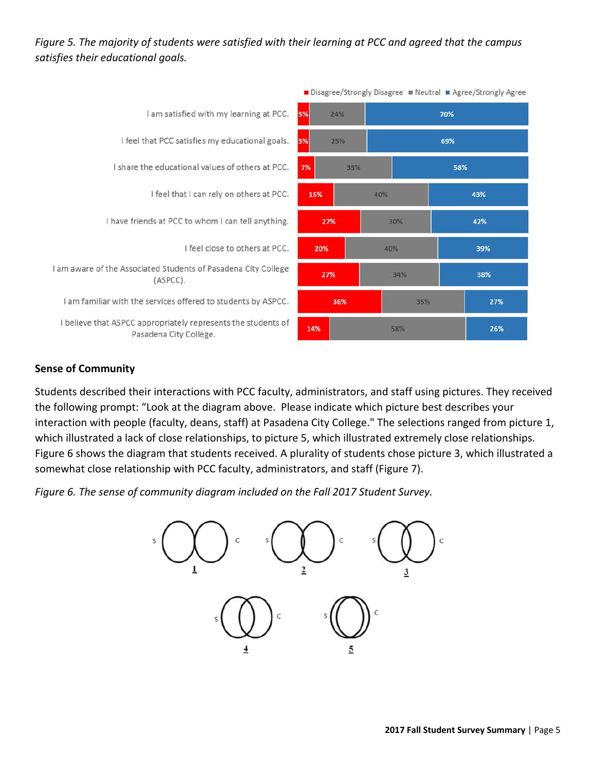## *Figure 5. The majority of students were satisfied with their learning at PCC and agreed that the campus satisfies their educational goals.*



#### **Sense of Community**

Students described their interactions with PCC faculty, administrators, and staff using pictures. They received the following prompt: "Look at the diagram above. Please indicate which picture best describes your interaction with people (faculty, deans, staff) at Pasadena City College." The selections ranged from picture 1, which illustrated a lack of close relationships, to picture 5, which illustrated extremely close relationships. Figure 6 shows the diagram that students received. A plurality of students chose picture 3, which illustrated a somewhat close relationship with PCC faculty, administrators, and staff (Figure 7).

*Figure 6. The sense of community diagram included on the Fall 2017 Student Survey.* 

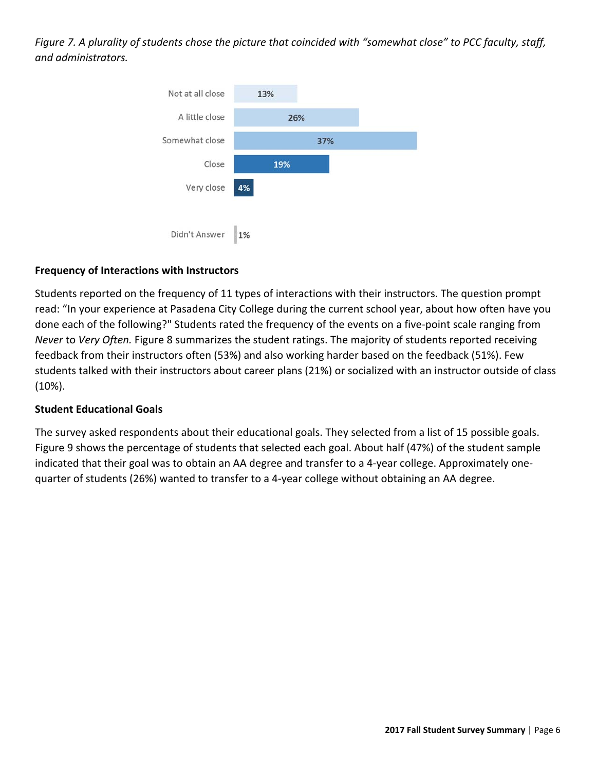*Figure 7. A plurality of students chose the picture that coincided with "somewhat close" to PCC faculty, staff, and administrators.* 



#### **Frequency of Interactions with Instructors**

Students reported on the frequency of 11 types of interactions with their instructors. The question prompt read: "In your experience at Pasadena City College during the current school year, about how often have you done each of the following?" Students rated the frequency of the events on a five‐point scale ranging from *Never* to *Very Often.* Figure 8 summarizes the student ratings. The majority of students reported receiving feedback from their instructors often (53%) and also working harder based on the feedback (51%). Few students talked with their instructors about career plans (21%) or socialized with an instructor outside of class (10%).

#### **Student Educational Goals**

The survey asked respondents about their educational goals. They selected from a list of 15 possible goals. Figure 9 shows the percentage of students that selected each goal. About half (47%) of the student sample indicated that their goal was to obtain an AA degree and transfer to a 4‐year college. Approximately one‐ quarter of students (26%) wanted to transfer to a 4‐year college without obtaining an AA degree.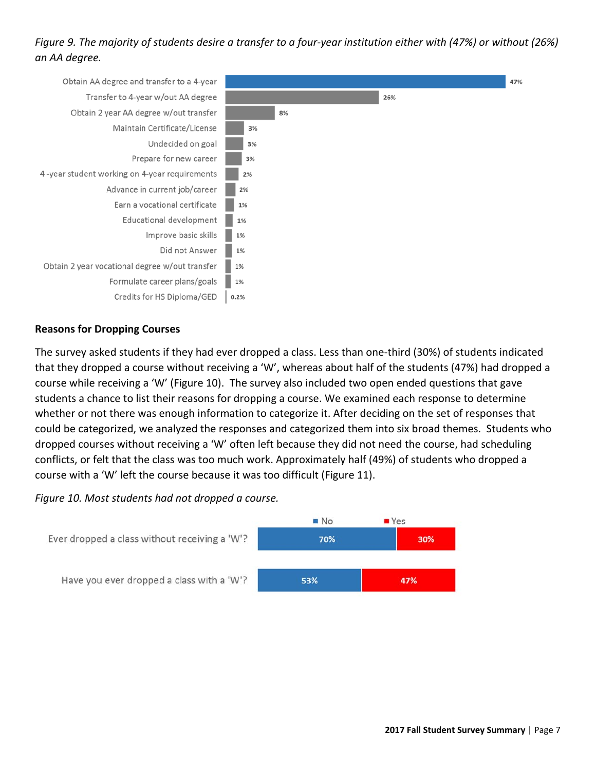## *Figure 9. The majority of students desire a transfer to a four‐year institution either with (47%) or without (26%) an AA degree.*



#### **Reasons for Dropping Courses**

The survey asked students if they had ever dropped a class. Less than one‐third (30%) of students indicated that they dropped a course without receiving a 'W', whereas about half of the students (47%) had dropped a course while receiving a 'W' (Figure 10). The survey also included two open ended questions that gave students a chance to list their reasons for dropping a course. We examined each response to determine whether or not there was enough information to categorize it. After deciding on the set of responses that could be categorized, we analyzed the responses and categorized them into six broad themes. Students who dropped courses without receiving a 'W' often left because they did not need the course, had scheduling conflicts, or felt that the class was too much work. Approximately half (49%) of students who dropped a course with a 'W' left the course because it was too difficult (Figure 11).

#### *Figure 10. Most students had not dropped a course.*

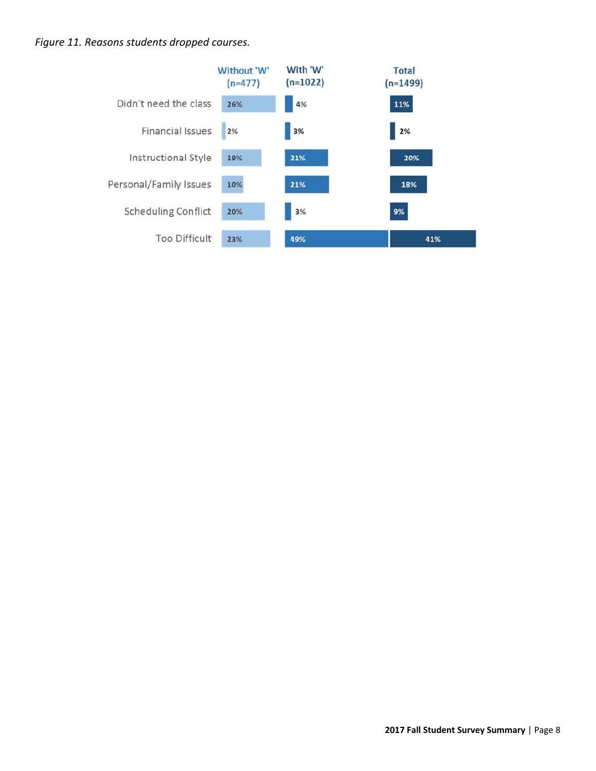#### *Figure 11. Reasons students dropped courses.*

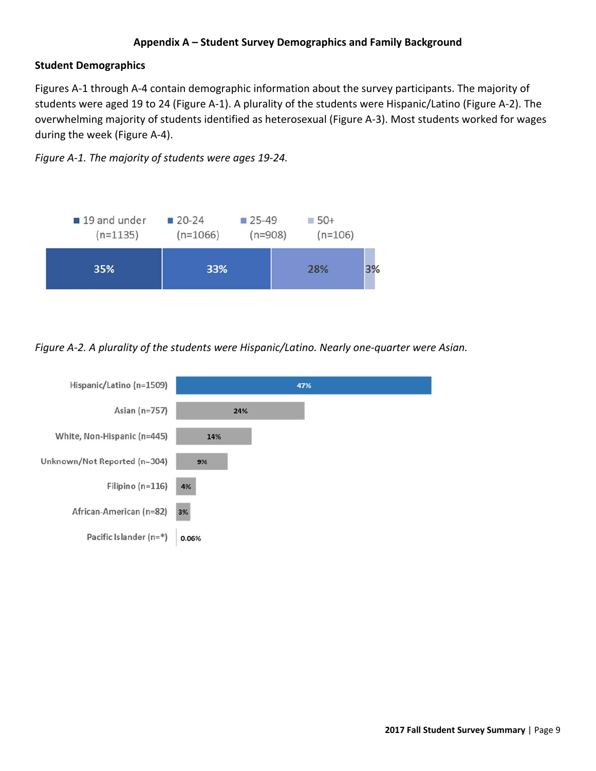#### **Appendix A – Student Survey Demographics and Family Background**

#### **Student Demographics**

Figures A‐1 through A‐4 contain demographic information about the survey participants. The majority of students were aged 19 to 24 (Figure A‐1). A plurality of the students were Hispanic/Latino (Figure A‐2). The overwhelming majority of students identified as heterosexual (Figure A‐3). Most students worked for wages during the week (Figure A‐4).

*Figure A‐1. The majority of students were ages 19‐24.*



*Figure A‐2. A plurality of the students were Hispanic/Latino. Nearly one‐quarter were Asian.*

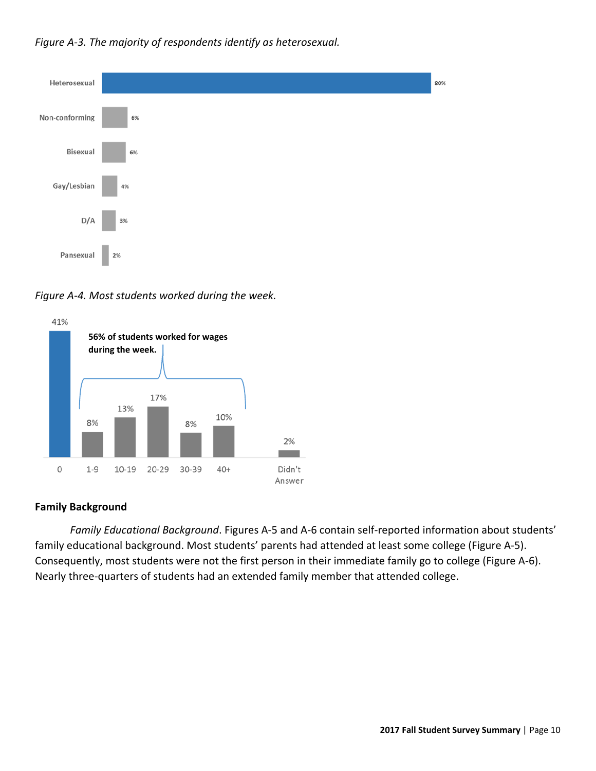



 *Figure A‐4. Most students worked during the week.*



#### **Family Background**

*Family Educational Background*. Figures A‐5 and A‐6 contain self‐reported information about students' family educational background. Most students' parents had attended at least some college (Figure A‐5). Consequently, most students were not the first person in their immediate family go to college (Figure A‐6). Nearly three‐quarters of students had an extended family member that attended college.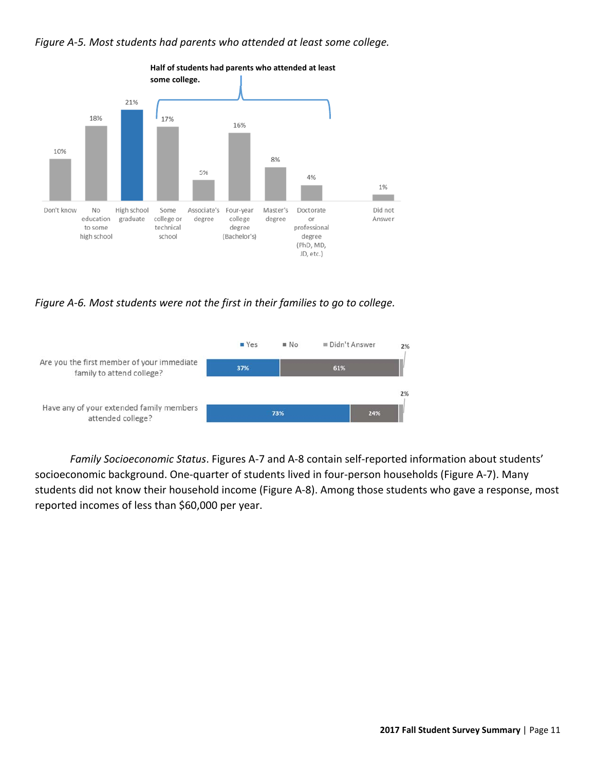



 *Figure A‐6. Most students were not the first in their families to go to college.*



*Family Socioeconomic Status*. Figures A‐7 and A‐8 contain self‐reported information about students' socioeconomic background. One-quarter of students lived in four-person households (Figure A-7). Many students did not know their household income (Figure A‐8). Among those students who gave a response, most reported incomes of less than \$60,000 per year.